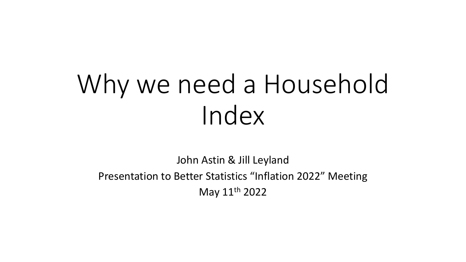# Why we need a Household Index

John Astin & Jill Leyland Presentation to Better Statistics "Inflation 2022" Meeting May 11th 2022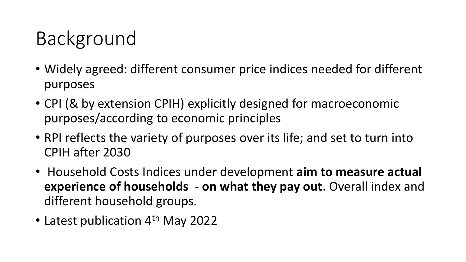# Background

- Widely agreed: different consumer price indices needed for different purposes
- CPI (& by extension CPIH) explicitly designed for macroeconomic purposes/according to economic principles
- RPI reflects the variety of purposes over its life; and set to turn into CPIH after 2030
- Household Costs Indices under development **aim to measure actual experience of households** - **on what they pay out**. Overall index and different household groups.
- Latest publication 4<sup>th</sup> May 2022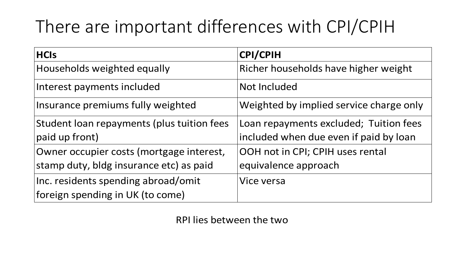## There are important differences with CPI/CPIH

| <b>HCIs</b>                                | <b>CPI/CPIH</b>                         |
|--------------------------------------------|-----------------------------------------|
| Households weighted equally                | Richer households have higher weight    |
| Interest payments included                 | Not Included                            |
| Insurance premiums fully weighted          | Weighted by implied service charge only |
| Student loan repayments (plus tuition fees | Loan repayments excluded; Tuition fees  |
| paid up front)                             | included when due even if paid by loan  |
| Owner occupier costs (mortgage interest,   | OOH not in CPI; CPIH uses rental        |
| stamp duty, bldg insurance etc) as paid    | equivalence approach                    |
| Inc. residents spending abroad/omit        | Vice versa                              |
| foreign spending in UK (to come)           |                                         |

RPI lies between the two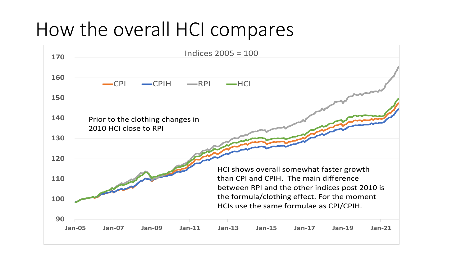### How the overall HCI compares

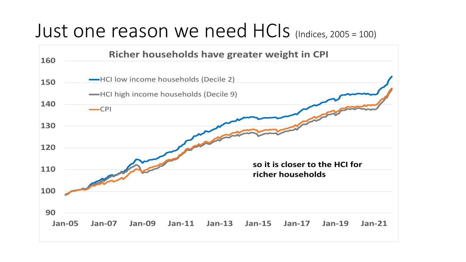#### Just one reason we need HCIs (Indices, 2005 = 100)

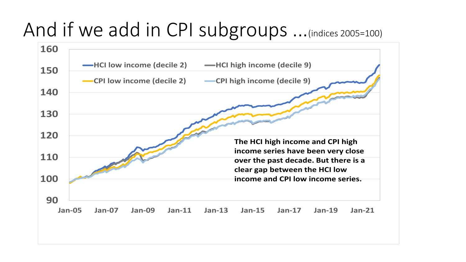## And if we add in CPI subgroups ...(indices 2005=100)